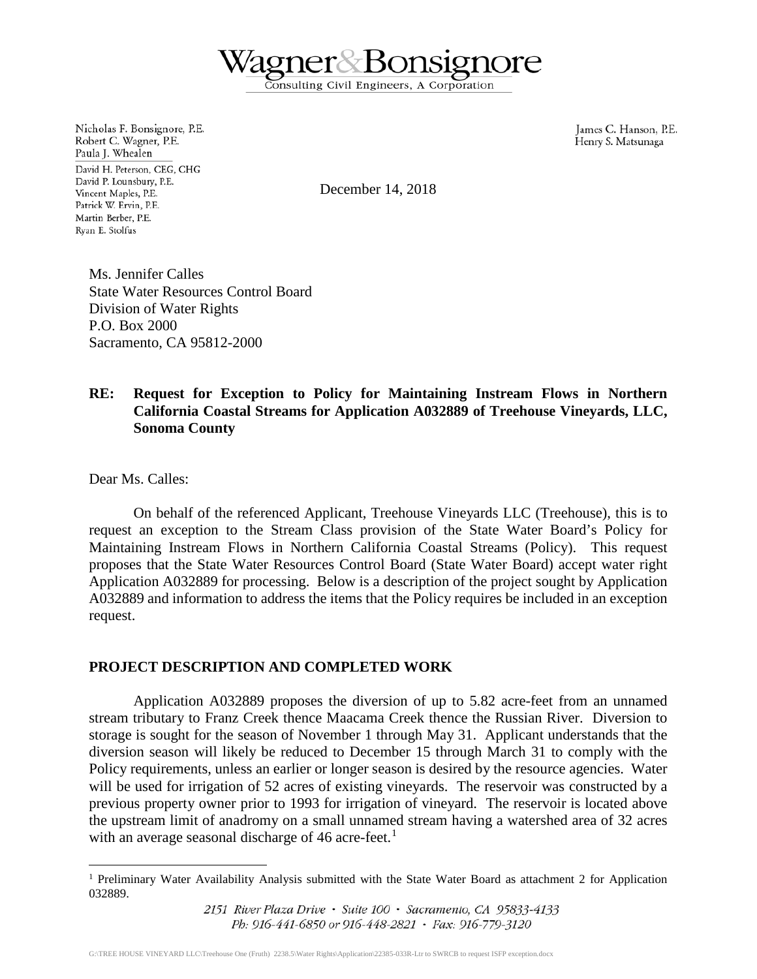

Nicholas F. Bonsignore, P.E. Robert C. Wagner, P.E. Paula J. Whealen David H. Peterson, CEG, CHG David P. Lounsbury, P.E. Vincent Maples, P.E. Patrick W. Ervin, P.E. Martin Berber, P.E. Ryan E. Stolfus

James C. Hanson, P.E. Henry S. Matsunaga

December 14, 2018

Ms. Jennifer Calles State Water Resources Control Board Division of Water Rights P.O. Box 2000 Sacramento, CA 95812-2000

## **RE: Request for Exception to Policy for Maintaining Instream Flows in Northern California Coastal Streams for Application A032889 of Treehouse Vineyards, LLC, Sonoma County**

Dear Ms. Calles:

On behalf of the referenced Applicant, Treehouse Vineyards LLC (Treehouse), this is to request an exception to the Stream Class provision of the State Water Board's Policy for Maintaining Instream Flows in Northern California Coastal Streams (Policy). This request proposes that the State Water Resources Control Board (State Water Board) accept water right Application A032889 for processing. Below is a description of the project sought by Application A032889 and information to address the items that the Policy requires be included in an exception request.

### **PROJECT DESCRIPTION AND COMPLETED WORK**

Application A032889 proposes the diversion of up to 5.82 acre-feet from an unnamed stream tributary to Franz Creek thence Maacama Creek thence the Russian River. Diversion to storage is sought for the season of November 1 through May 31. Applicant understands that the diversion season will likely be reduced to December 15 through March 31 to comply with the Policy requirements, unless an earlier or longer season is desired by the resource agencies. Water will be used for irrigation of 52 acres of existing vineyards. The reservoir was constructed by a previous property owner prior to 1993 for irrigation of vineyard. The reservoir is located above the upstream limit of anadromy on a small unnamed stream having a watershed area of 32 acres with an average seasonal discharge of 46 acre-feet.<sup>[1](#page-0-0)</sup>

<span id="page-0-0"></span> <sup>1</sup> Preliminary Water Availability Analysis submitted with the State Water Board as attachment 2 for Application 032889.

<sup>2151</sup> River Plaza Drive · Suite 100 · Sacramento, CA 95833-4133 Ph: 916-441-6850 or 916-448-2821 · Fax: 916-779-3120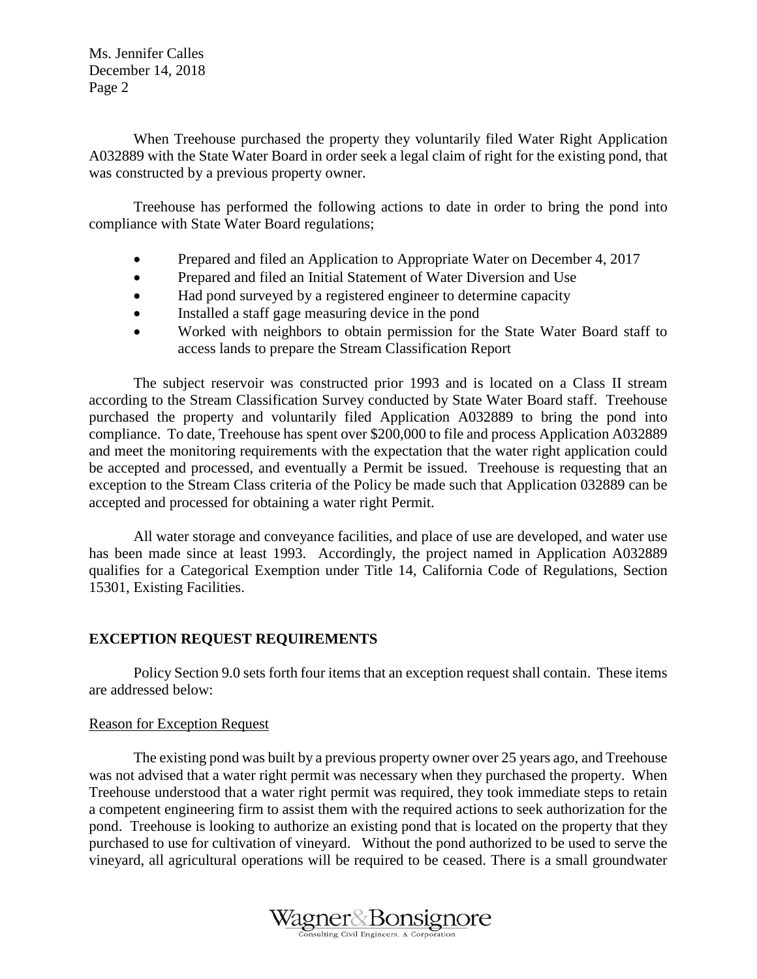Ms. Jennifer Calles December 14, 2018 Page 2

When Treehouse purchased the property they voluntarily filed Water Right Application A032889 with the State Water Board in order seek a legal claim of right for the existing pond, that was constructed by a previous property owner.

Treehouse has performed the following actions to date in order to bring the pond into compliance with State Water Board regulations;

- Prepared and filed an Application to Appropriate Water on December 4, 2017
- Prepared and filed an Initial Statement of Water Diversion and Use
- Had pond surveyed by a registered engineer to determine capacity
- Installed a staff gage measuring device in the pond
- Worked with neighbors to obtain permission for the State Water Board staff to access lands to prepare the Stream Classification Report

The subject reservoir was constructed prior 1993 and is located on a Class II stream according to the Stream Classification Survey conducted by State Water Board staff. Treehouse purchased the property and voluntarily filed Application A032889 to bring the pond into compliance. To date, Treehouse has spent over \$200,000 to file and process Application A032889 and meet the monitoring requirements with the expectation that the water right application could be accepted and processed, and eventually a Permit be issued. Treehouse is requesting that an exception to the Stream Class criteria of the Policy be made such that Application 032889 can be accepted and processed for obtaining a water right Permit.

All water storage and conveyance facilities, and place of use are developed, and water use has been made since at least 1993. Accordingly, the project named in Application A032889 qualifies for a Categorical Exemption under Title 14, California Code of Regulations, Section 15301, Existing Facilities.

# **EXCEPTION REQUEST REQUIREMENTS**

Policy Section 9.0 sets forth four items that an exception request shall contain. These items are addressed below:

### Reason for Exception Request

The existing pond was built by a previous property owner over 25 years ago, and Treehouse was not advised that a water right permit was necessary when they purchased the property. When Treehouse understood that a water right permit was required, they took immediate steps to retain a competent engineering firm to assist them with the required actions to seek authorization for the pond. Treehouse is looking to authorize an existing pond that is located on the property that they purchased to use for cultivation of vineyard. Without the pond authorized to be used to serve the vineyard, all agricultural operations will be required to be ceased. There is a small groundwater

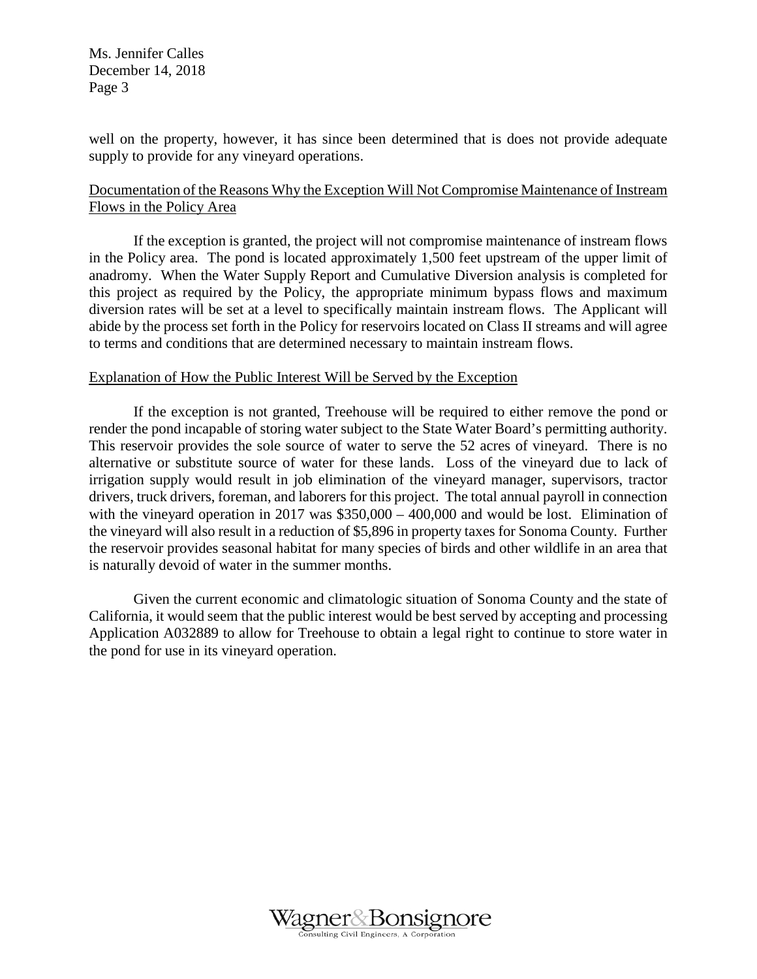Ms. Jennifer Calles December 14, 2018 Page 3

well on the property, however, it has since been determined that is does not provide adequate supply to provide for any vineyard operations.

## Documentation of the Reasons Why the Exception Will Not Compromise Maintenance of Instream Flows in the Policy Area

If the exception is granted, the project will not compromise maintenance of instream flows in the Policy area. The pond is located approximately 1,500 feet upstream of the upper limit of anadromy. When the Water Supply Report and Cumulative Diversion analysis is completed for this project as required by the Policy, the appropriate minimum bypass flows and maximum diversion rates will be set at a level to specifically maintain instream flows. The Applicant will abide by the process set forth in the Policy for reservoirs located on Class II streams and will agree to terms and conditions that are determined necessary to maintain instream flows.

### Explanation of How the Public Interest Will be Served by the Exception

If the exception is not granted, Treehouse will be required to either remove the pond or render the pond incapable of storing water subject to the State Water Board's permitting authority. This reservoir provides the sole source of water to serve the 52 acres of vineyard. There is no alternative or substitute source of water for these lands. Loss of the vineyard due to lack of irrigation supply would result in job elimination of the vineyard manager, supervisors, tractor drivers, truck drivers, foreman, and laborers for this project. The total annual payroll in connection with the vineyard operation in 2017 was \$350,000 – 400,000 and would be lost. Elimination of the vineyard will also result in a reduction of \$5,896 in property taxes for Sonoma County. Further the reservoir provides seasonal habitat for many species of birds and other wildlife in an area that is naturally devoid of water in the summer months.

Given the current economic and climatologic situation of Sonoma County and the state of California, it would seem that the public interest would be best served by accepting and processing Application A032889 to allow for Treehouse to obtain a legal right to continue to store water in the pond for use in its vineyard operation.